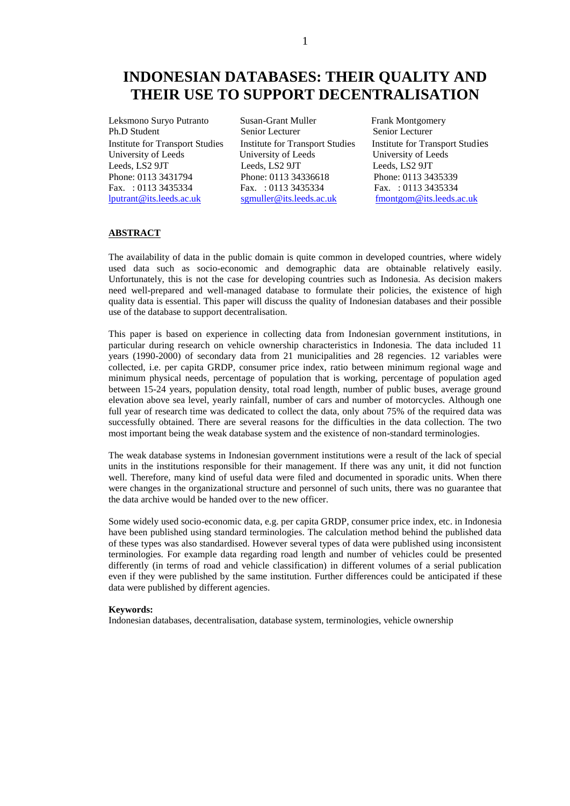# **INDONESIAN DATABASES: THEIR QUALITY AND THEIR USE TO SUPPORT DECENTRALISATION**

University of Leeds University of Leeds<br>
Leeds, LS2 9JT<br>
Leeds, LS2 9JT

Leksmono Suryo Putranto Susan-Grant Muller Frank Montgomery<br>
Ph.D Student Senior Lecturer Senior Lecturer Senior Lecturer Leeds, LS2 9JT Leeds, LS2 9JT Leeds, LS2 9JT Phone: 0113 3431794 Phone: 0113 34336618 Phone: 0113 3435339 Fax. : 0113 3435334 Fax. : 0113 3435334 Fax. : 0113 3435334 [lputrant@its.leeds.ac.uk](mailto:lputrant@its.leeds.ac.uk) [sgmuller@its.leeds.ac.uk](mailto:sgmuller@its.leeds.ac.uk) [fmontgom@its.leeds.ac.uk](mailto:fmontgom@its.leeds.ac.uk)

Senior Lecturer Institute for Transport Studies Institute for Transport Studies Institute for Transport Studies

## **ABSTRACT**

The availability of data in the public domain is quite common in developed countries, where widely used data such as socio-economic and demographic data are obtainable relatively easily. Unfortunately, this is not the case for developing countries such as Indonesia. As decision makers need well-prepared and well-managed database to formulate their policies, the existence of high quality data is essential. This paper will discuss the quality of Indonesian databases and their possible use of the database to support decentralisation.

This paper is based on experience in collecting data from Indonesian government institutions, in particular during research on vehicle ownership characteristics in Indonesia. The data included 11 years (1990-2000) of secondary data from 21 municipalities and 28 regencies. 12 variables were collected, i.e. per capita GRDP, consumer price index, ratio between minimum regional wage and minimum physical needs, percentage of population that is working, percentage of population aged between 15-24 years, population density, total road length, number of public buses, average ground elevation above sea level, yearly rainfall, number of cars and number of motorcycles. Although one full year of research time was dedicated to collect the data, only about 75% of the required data was successfully obtained. There are several reasons for the difficulties in the data collection. The two most important being the weak database system and the existence of non-standard terminologies.

The weak database systems in Indonesian government institutions were a result of the lack of special units in the institutions responsible for their management. If there was any unit, it did not function well. Therefore, many kind of useful data were filed and documented in sporadic units. When there were changes in the organizational structure and personnel of such units, there was no guarantee that the data archive would be handed over to the new officer.

Some widely used socio-economic data, e.g. per capita GRDP, consumer price index, etc. in Indonesia have been published using standard terminologies. The calculation method behind the published data of these types was also standardised. However several types of data were published using inconsistent terminologies. For example data regarding road length and number of vehicles could be presented differently (in terms of road and vehicle classification) in different volumes of a serial publication even if they were published by the same institution. Further differences could be anticipated if these data were published by different agencies.

#### **Keywords:**

Indonesian databases, decentralisation, database system, terminologies, vehicle ownership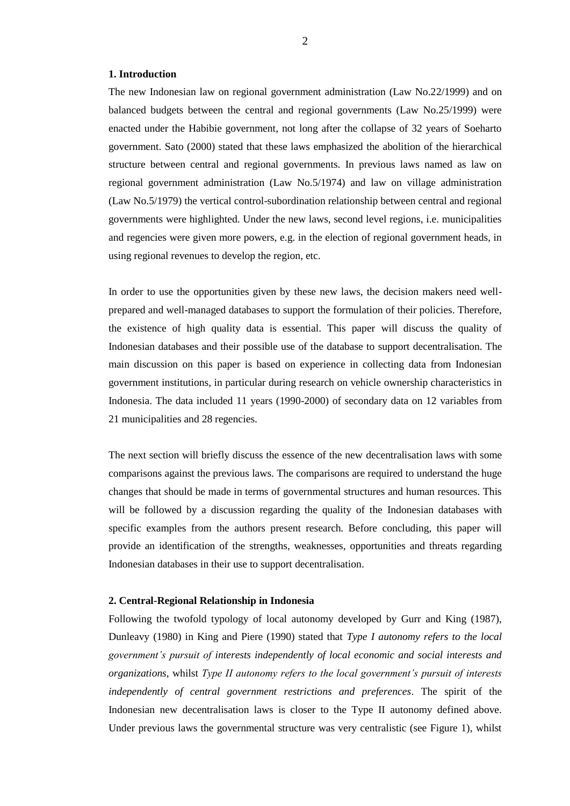## **1. Introduction**

The new Indonesian law on regional government administration (Law No.22/1999) and on balanced budgets between the central and regional governments (Law No.25/1999) were enacted under the Habibie government, not long after the collapse of 32 years of Soeharto government. Sato (2000) stated that these laws emphasized the abolition of the hierarchical structure between central and regional governments. In previous laws named as law on regional government administration (Law No.5/1974) and law on village administration (Law No.5/1979) the vertical control-subordination relationship between central and regional governments were highlighted. Under the new laws, second level regions, i.e. municipalities and regencies were given more powers, e.g. in the election of regional government heads, in using regional revenues to develop the region, etc.

In order to use the opportunities given by these new laws, the decision makers need wellprepared and well-managed databases to support the formulation of their policies. Therefore, the existence of high quality data is essential. This paper will discuss the quality of Indonesian databases and their possible use of the database to support decentralisation. The main discussion on this paper is based on experience in collecting data from Indonesian government institutions, in particular during research on vehicle ownership characteristics in Indonesia. The data included 11 years (1990-2000) of secondary data on 12 variables from 21 municipalities and 28 regencies.

The next section will briefly discuss the essence of the new decentralisation laws with some comparisons against the previous laws. The comparisons are required to understand the huge changes that should be made in terms of governmental structures and human resources. This will be followed by a discussion regarding the quality of the Indonesian databases with specific examples from the authors present research. Before concluding, this paper will provide an identification of the strengths, weaknesses, opportunities and threats regarding Indonesian databases in their use to support decentralisation.

#### **2. Central-Regional Relationship in Indonesia**

Following the twofold typology of local autonomy developed by Gurr and King (1987), Dunleavy (1980) in King and Piere (1990) stated that *Type I autonomy refers to the local government's pursuit of interests independently of local economic and social interests and organizations*, whilst *Type II autonomy refers to the local government's pursuit of interests independently of central government restrictions and preferences*. The spirit of the Indonesian new decentralisation laws is closer to the Type II autonomy defined above. Under previous laws the governmental structure was very centralistic (see Figure 1), whilst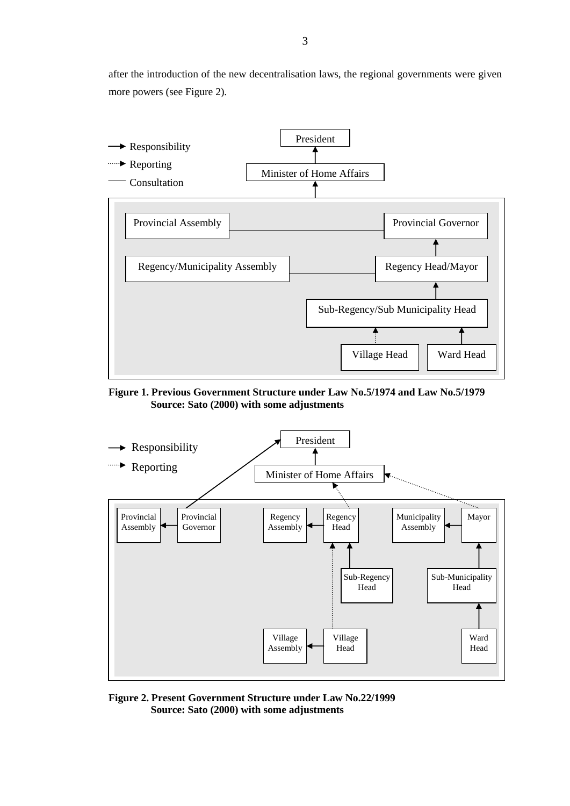after the introduction of the new decentralisation laws, the regional governments were given more powers (see Figure 2).



**Figure 1. Previous Government Structure under Law No.5/1974 and Law No.5/1979 Source: Sato (2000) with some adjustments**



**Figure 2. Present Government Structure under Law No.22/1999 Source: Sato (2000) with some adjustments**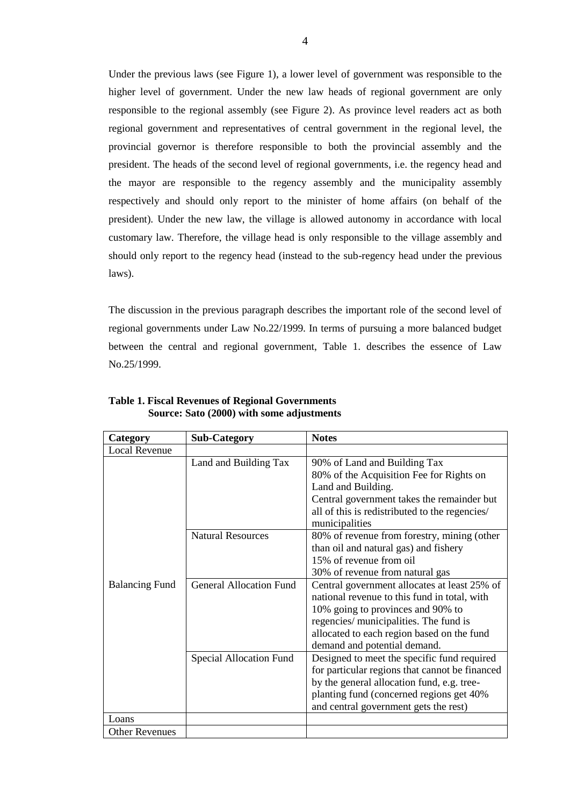Under the previous laws (see Figure 1), a lower level of government was responsible to the higher level of government. Under the new law heads of regional government are only responsible to the regional assembly (see Figure 2). As province level readers act as both regional government and representatives of central government in the regional level, the provincial governor is therefore responsible to both the provincial assembly and the president. The heads of the second level of regional governments, i.e. the regency head and the mayor are responsible to the regency assembly and the municipality assembly respectively and should only report to the minister of home affairs (on behalf of the president). Under the new law, the village is allowed autonomy in accordance with local customary law. Therefore, the village head is only responsible to the village assembly and should only report to the regency head (instead to the sub-regency head under the previous laws).

The discussion in the previous paragraph describes the important role of the second level of regional governments under Law No.22/1999. In terms of pursuing a more balanced budget between the central and regional government, Table 1. describes the essence of Law No.25/1999.

| Category              | <b>Sub-Category</b>            | <b>Notes</b>                                                                                                                                                                                                                                              |
|-----------------------|--------------------------------|-----------------------------------------------------------------------------------------------------------------------------------------------------------------------------------------------------------------------------------------------------------|
| <b>Local Revenue</b>  |                                |                                                                                                                                                                                                                                                           |
|                       | Land and Building Tax          | 90% of Land and Building Tax<br>80% of the Acquisition Fee for Rights on<br>Land and Building.<br>Central government takes the remainder but<br>all of this is redistributed to the regencies/<br>municipalities                                          |
|                       | <b>Natural Resources</b>       | 80% of revenue from forestry, mining (other<br>than oil and natural gas) and fishery<br>15% of revenue from oil<br>30% of revenue from natural gas                                                                                                        |
| <b>Balancing Fund</b> | <b>General Allocation Fund</b> | Central government allocates at least 25% of<br>national revenue to this fund in total, with<br>10% going to provinces and 90% to<br>regencies/ municipalities. The fund is<br>allocated to each region based on the fund<br>demand and potential demand. |
|                       | Special Allocation Fund        | Designed to meet the specific fund required<br>for particular regions that cannot be financed<br>by the general allocation fund, e.g. tree-<br>planting fund (concerned regions get 40%<br>and central government gets the rest)                          |
| Loans                 |                                |                                                                                                                                                                                                                                                           |
| <b>Other Revenues</b> |                                |                                                                                                                                                                                                                                                           |

**Table 1. Fiscal Revenues of Regional Governments Source: Sato (2000) with some adjustments**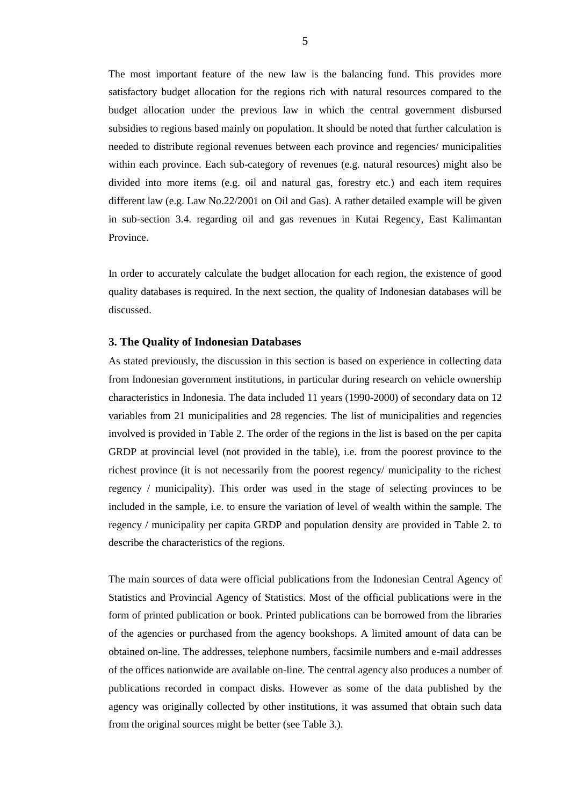The most important feature of the new law is the balancing fund. This provides more satisfactory budget allocation for the regions rich with natural resources compared to the budget allocation under the previous law in which the central government disbursed subsidies to regions based mainly on population. It should be noted that further calculation is needed to distribute regional revenues between each province and regencies/ municipalities within each province. Each sub-category of revenues (e.g. natural resources) might also be divided into more items (e.g. oil and natural gas, forestry etc.) and each item requires different law (e.g. Law No.22/2001 on Oil and Gas). A rather detailed example will be given in sub-section 3.4. regarding oil and gas revenues in Kutai Regency, East Kalimantan Province.

In order to accurately calculate the budget allocation for each region, the existence of good quality databases is required. In the next section, the quality of Indonesian databases will be discussed.

## **3. The Quality of Indonesian Databases**

As stated previously, the discussion in this section is based on experience in collecting data from Indonesian government institutions, in particular during research on vehicle ownership characteristics in Indonesia. The data included 11 years (1990-2000) of secondary data on 12 variables from 21 municipalities and 28 regencies. The list of municipalities and regencies involved is provided in Table 2. The order of the regions in the list is based on the per capita GRDP at provincial level (not provided in the table), i.e. from the poorest province to the richest province (it is not necessarily from the poorest regency/ municipality to the richest regency / municipality). This order was used in the stage of selecting provinces to be included in the sample, i.e. to ensure the variation of level of wealth within the sample. The regency / municipality per capita GRDP and population density are provided in Table 2. to describe the characteristics of the regions.

The main sources of data were official publications from the Indonesian Central Agency of Statistics and Provincial Agency of Statistics. Most of the official publications were in the form of printed publication or book. Printed publications can be borrowed from the libraries of the agencies or purchased from the agency bookshops. A limited amount of data can be obtained on-line. The addresses, telephone numbers, facsimile numbers and e-mail addresses of the offices nationwide are available on-line. The central agency also produces a number of publications recorded in compact disks. However as some of the data published by the agency was originally collected by other institutions, it was assumed that obtain such data from the original sources might be better (see Table 3.).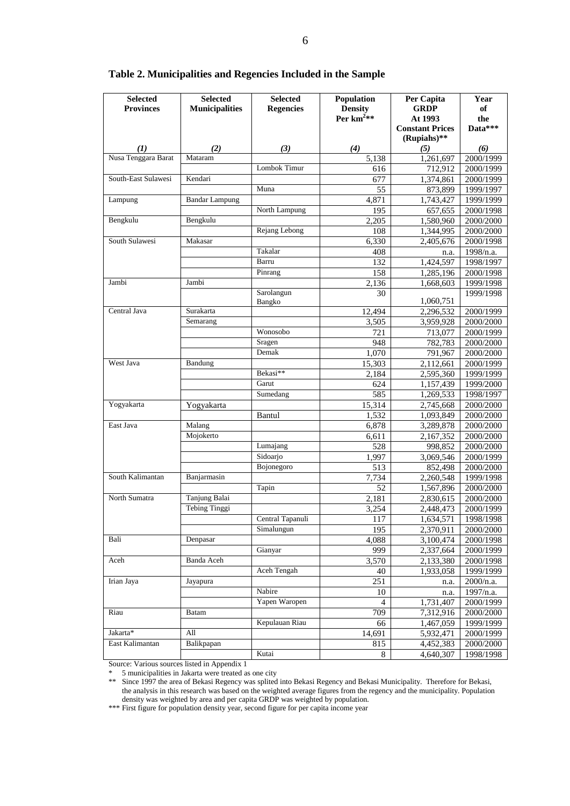| <b>Selected</b>     | <b>Selected</b>       | <b>Selected</b>  | Population     | Per Capita             | Year      |
|---------------------|-----------------------|------------------|----------------|------------------------|-----------|
| <b>Provinces</b>    | <b>Municipalities</b> | <b>Regencies</b> | <b>Density</b> | <b>GRDP</b>            | of        |
|                     |                       |                  | Per $km^2$ **  | At 1993                | the       |
|                     |                       |                  |                | <b>Constant Prices</b> | Data***   |
|                     |                       |                  |                | (Rupiahs)**            |           |
| $\mathcal{L}(I)$    | (2)                   | (3)              | (4)            | (5)                    | (6)       |
| Nusa Tenggara Barat | Mataram               |                  | 5,138          | 1,261,697              | 2000/1999 |
|                     |                       | Lombok Timur     | 616            | 712,912                | 2000/1999 |
| South-East Sulawesi | Kendari               |                  | 677            | 1,374,861              | 2000/1999 |
|                     |                       | Muna             | 55             | 873,899                | 1999/1997 |
| Lampung             | <b>Bandar Lampung</b> |                  | 4,871          | 1.743.427              | 1999/1999 |
|                     |                       | North Lampung    | 195            | 657,655                | 2000/1998 |
| Bengkulu            | Bengkulu              |                  | 2,205          | 1,580,960              | 2000/2000 |
|                     |                       | Rejang Lebong    | 108            | 1,344,995              | 2000/2000 |
| South Sulawesi      | Makasar               |                  | 6,330          | 2,405,676              | 2000/1998 |
|                     |                       | Takalar          | 408            | n.a.                   | 1998/n.a. |
|                     |                       | Barru            | 132            | 1,424,597              | 1998/1997 |
|                     |                       | Pinrang          | 158            | 1,285,196              | 2000/1998 |
| Jambi               | Jambi                 |                  | 2,136          | 1,668,603              | 1999/1998 |
|                     |                       | Sarolangun       | 30             |                        | 1999/1998 |
|                     |                       | Bangko           |                | 1,060,751              |           |
| Central Java        | Surakarta             |                  | 12,494         | 2,296,532              | 2000/1999 |
|                     | Semarang              |                  | 3,505          | 3,959,928              | 2000/2000 |
|                     |                       | Wonosobo         | 721            | 713,077                | 2000/1999 |
|                     |                       | Sragen           | 948            | 782,783                | 2000/2000 |
|                     |                       | Demak            | 1,070          | 791,967                | 2000/2000 |
| West Java           | Bandung               |                  | 15,303         | 2,112,661              | 2000/1999 |
|                     |                       | Bekasi**         | 2,184          | 2,595,360              | 1999/1999 |
|                     |                       | Garut            | 624            | 1,157,439              | 1999/2000 |
|                     |                       | Sumedang         | 585            | 1,269,533              | 1998/1997 |
| Yogyakarta          |                       |                  |                |                        |           |
|                     | Yogyakarta            |                  | 15,314         | 2,745,668              | 2000/2000 |
|                     |                       | Bantul           | 1,532          | 1,093,849              | 2000/2000 |
| East Java           | Malang                |                  | 6,878          | 3,289,878              | 2000/2000 |
|                     | Mojokerto             |                  | 6,611          | 2,167,352              | 2000/2000 |
|                     |                       | Lumajang         | 528            | 998,852                | 2000/2000 |
|                     |                       | Sidoarjo         | 1,997          | 3,069,546              | 2000/1999 |
|                     |                       | Bojonegoro       | 513            | 852,498                | 2000/2000 |
| South Kalimantan    | Banjarmasin           |                  | 7,734          | 2,260,548              | 1999/1998 |
|                     |                       | Tapin            | 52             | 1,567,896              | 2000/2000 |
| North Sumatra       | Tanjung Balai         |                  | 2,181          | 2,830,615              | 2000/2000 |
|                     | Tebing Tinggi         |                  | 3,254          | 2,448,473              | 2000/1999 |
|                     |                       | Central Tapanuli | 117            | 1,634,571              | 1998/1998 |
|                     |                       | Simalungun       | 195            | 2,370,911              | 2000/2000 |
| Bali                | Denpasar              |                  | 4,088          | 3,100,474              | 2000/1998 |
|                     |                       | Gianyar          | 999            | 2,337,664              | 2000/1999 |
| Aceh                | Banda Aceh            |                  | 3,570          | 2,133,380              | 2000/1998 |
|                     |                       | Aceh Tengah      | 40             | 1,933,058              | 1999/1999 |
| Irian Jaya          | Jayapura              |                  | 251            | n.a.                   | 2000/n.a. |
|                     |                       | Nabire           | 10             | n.a.                   | 1997/n.a. |
|                     |                       | Yapen Waropen    | $\overline{4}$ | 1,731,407              | 2000/1999 |
| Riau                | Batam                 |                  | 709            | 7,312,916              | 2000/2000 |
|                     |                       | Kepulauan Riau   | 66             | 1,467,059              | 1999/1999 |
| Jakarta*            | All                   |                  | 14,691         | 5,932,471              | 2000/1999 |
| East Kalimantan     | Balikpapan            |                  | 815            | 4,452,383              | 2000/2000 |
|                     |                       | Kutai            | 8              | 4,640,307              | 1998/1998 |
|                     |                       |                  |                |                        |           |

## **Table 2. Municipalities and Regencies Included in the Sample**

Source: Various sources listed in Appendix 1

\* 5 municipalities in Jakarta were treated as one city

\*\* Since 1997 the area of Bekasi Regency was splited into Bekasi Regency and Bekasi Municipality. Therefore for Bekasi, the analysis in this research was based on the weighted average figures from the regency and the municipality. Population density was weighted by area and per capita GRDP was weighted by population.

\*\*\* First figure for population density year, second figure for per capita income year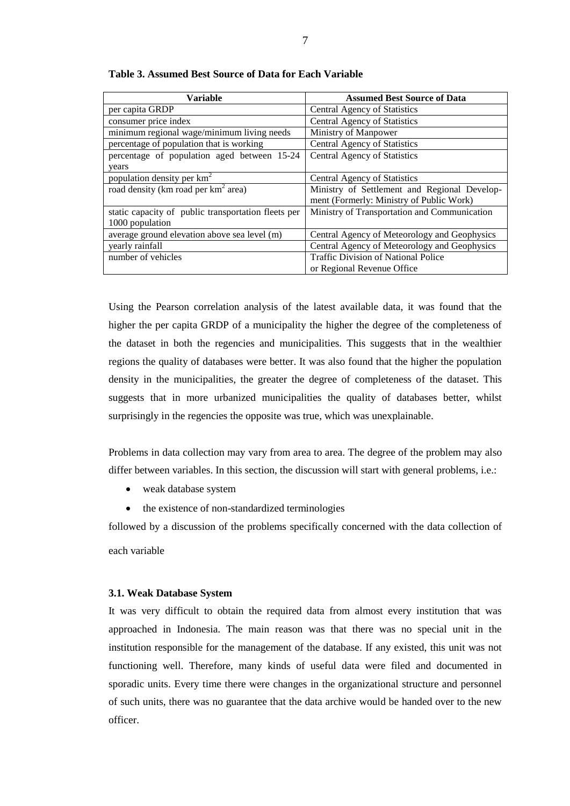| Variable                                            | <b>Assumed Best Source of Data</b>           |
|-----------------------------------------------------|----------------------------------------------|
| per capita GRDP                                     | Central Agency of Statistics                 |
| consumer price index                                | Central Agency of Statistics                 |
| minimum regional wage/minimum living needs          | Ministry of Manpower                         |
| percentage of population that is working            | Central Agency of Statistics                 |
| percentage of population aged between 15-24         | <b>Central Agency of Statistics</b>          |
| years                                               |                                              |
| population density per km <sup>2</sup>              | Central Agency of Statistics                 |
| road density (km road per km <sup>2</sup> area)     | Ministry of Settlement and Regional Develop- |
|                                                     | ment (Formerly: Ministry of Public Work)     |
| static capacity of public transportation fleets per | Ministry of Transportation and Communication |
| 1000 population                                     |                                              |
| average ground elevation above sea level (m)        | Central Agency of Meteorology and Geophysics |
| yearly rainfall                                     | Central Agency of Meteorology and Geophysics |
| number of vehicles                                  | <b>Traffic Division of National Police</b>   |
|                                                     | or Regional Revenue Office                   |

**Table 3. Assumed Best Source of Data for Each Variable**

Using the Pearson correlation analysis of the latest available data, it was found that the higher the per capita GRDP of a municipality the higher the degree of the completeness of the dataset in both the regencies and municipalities. This suggests that in the wealthier regions the quality of databases were better. It was also found that the higher the population density in the municipalities, the greater the degree of completeness of the dataset. This suggests that in more urbanized municipalities the quality of databases better, whilst surprisingly in the regencies the opposite was true, which was unexplainable.

Problems in data collection may vary from area to area. The degree of the problem may also differ between variables. In this section, the discussion will start with general problems, i.e.:

- weak database system
- the existence of non-standardized terminologies

followed by a discussion of the problems specifically concerned with the data collection of each variable

## **3.1. Weak Database System**

It was very difficult to obtain the required data from almost every institution that was approached in Indonesia. The main reason was that there was no special unit in the institution responsible for the management of the database. If any existed, this unit was not functioning well. Therefore, many kinds of useful data were filed and documented in sporadic units. Every time there were changes in the organizational structure and personnel of such units, there was no guarantee that the data archive would be handed over to the new officer.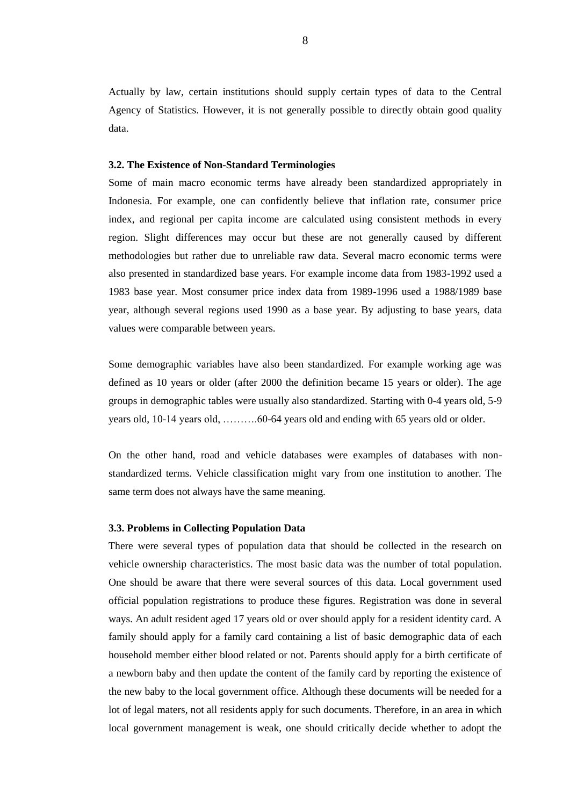Actually by law, certain institutions should supply certain types of data to the Central Agency of Statistics. However, it is not generally possible to directly obtain good quality data.

### **3.2. The Existence of Non-Standard Terminologies**

Some of main macro economic terms have already been standardized appropriately in Indonesia. For example, one can confidently believe that inflation rate, consumer price index, and regional per capita income are calculated using consistent methods in every region. Slight differences may occur but these are not generally caused by different methodologies but rather due to unreliable raw data. Several macro economic terms were also presented in standardized base years. For example income data from 1983-1992 used a 1983 base year. Most consumer price index data from 1989-1996 used a 1988/1989 base year, although several regions used 1990 as a base year. By adjusting to base years, data values were comparable between years.

Some demographic variables have also been standardized. For example working age was defined as 10 years or older (after 2000 the definition became 15 years or older). The age groups in demographic tables were usually also standardized. Starting with 0-4 years old, 5-9 years old, 10-14 years old, ……….60-64 years old and ending with 65 years old or older.

On the other hand, road and vehicle databases were examples of databases with nonstandardized terms. Vehicle classification might vary from one institution to another. The same term does not always have the same meaning.

## **3.3. Problems in Collecting Population Data**

There were several types of population data that should be collected in the research on vehicle ownership characteristics. The most basic data was the number of total population. One should be aware that there were several sources of this data. Local government used official population registrations to produce these figures. Registration was done in several ways. An adult resident aged 17 years old or over should apply for a resident identity card. A family should apply for a family card containing a list of basic demographic data of each household member either blood related or not. Parents should apply for a birth certificate of a newborn baby and then update the content of the family card by reporting the existence of the new baby to the local government office. Although these documents will be needed for a lot of legal maters, not all residents apply for such documents. Therefore, in an area in which local government management is weak, one should critically decide whether to adopt the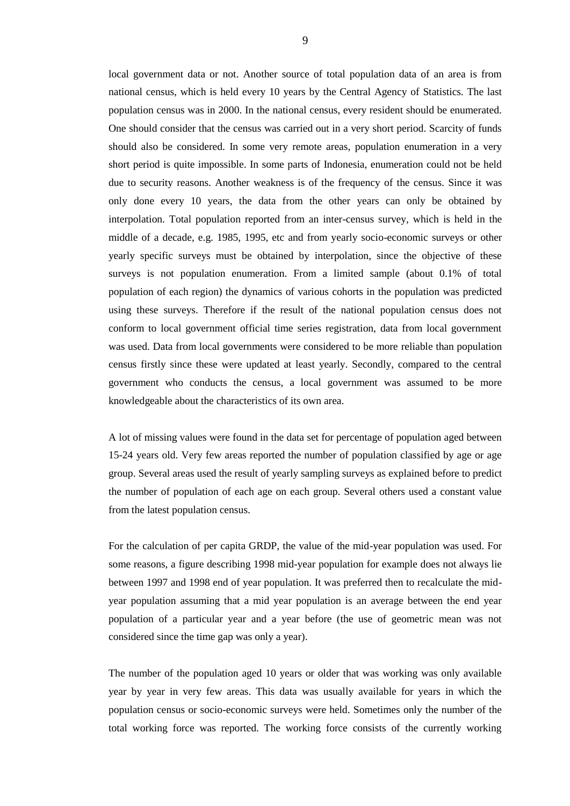local government data or not. Another source of total population data of an area is from national census, which is held every 10 years by the Central Agency of Statistics. The last population census was in 2000. In the national census, every resident should be enumerated. One should consider that the census was carried out in a very short period. Scarcity of funds should also be considered. In some very remote areas, population enumeration in a very short period is quite impossible. In some parts of Indonesia, enumeration could not be held due to security reasons. Another weakness is of the frequency of the census. Since it was only done every 10 years, the data from the other years can only be obtained by interpolation. Total population reported from an inter-census survey, which is held in the middle of a decade, e.g. 1985, 1995, etc and from yearly socio-economic surveys or other yearly specific surveys must be obtained by interpolation, since the objective of these surveys is not population enumeration. From a limited sample (about 0.1% of total population of each region) the dynamics of various cohorts in the population was predicted using these surveys. Therefore if the result of the national population census does not conform to local government official time series registration, data from local government was used. Data from local governments were considered to be more reliable than population census firstly since these were updated at least yearly. Secondly, compared to the central government who conducts the census, a local government was assumed to be more knowledgeable about the characteristics of its own area.

A lot of missing values were found in the data set for percentage of population aged between 15-24 years old. Very few areas reported the number of population classified by age or age group. Several areas used the result of yearly sampling surveys as explained before to predict the number of population of each age on each group. Several others used a constant value from the latest population census.

For the calculation of per capita GRDP, the value of the mid-year population was used. For some reasons, a figure describing 1998 mid-year population for example does not always lie between 1997 and 1998 end of year population. It was preferred then to recalculate the midyear population assuming that a mid year population is an average between the end year population of a particular year and a year before (the use of geometric mean was not considered since the time gap was only a year).

The number of the population aged 10 years or older that was working was only available year by year in very few areas. This data was usually available for years in which the population census or socio-economic surveys were held. Sometimes only the number of the total working force was reported. The working force consists of the currently working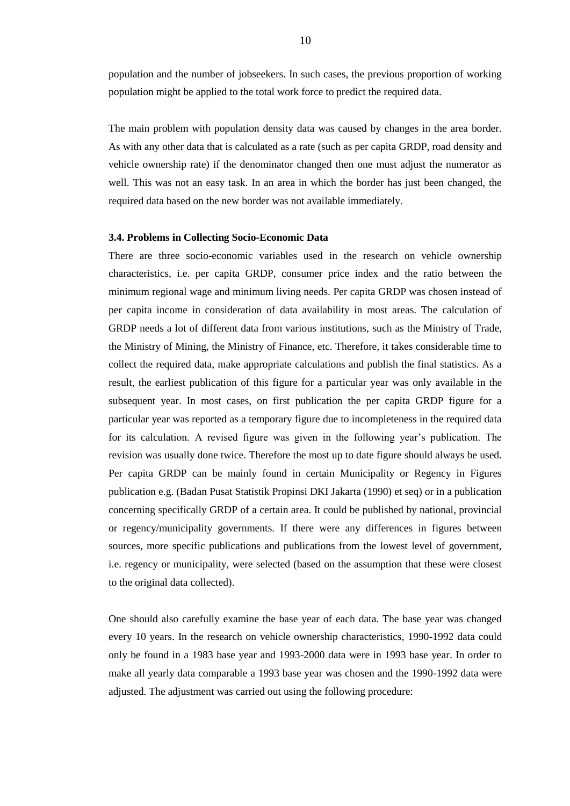population and the number of jobseekers. In such cases, the previous proportion of working population might be applied to the total work force to predict the required data.

The main problem with population density data was caused by changes in the area border. As with any other data that is calculated as a rate (such as per capita GRDP, road density and vehicle ownership rate) if the denominator changed then one must adjust the numerator as well. This was not an easy task. In an area in which the border has just been changed, the required data based on the new border was not available immediately.

## **3.4. Problems in Collecting Socio-Economic Data**

There are three socio-economic variables used in the research on vehicle ownership characteristics, i.e. per capita GRDP, consumer price index and the ratio between the minimum regional wage and minimum living needs. Per capita GRDP was chosen instead of per capita income in consideration of data availability in most areas. The calculation of GRDP needs a lot of different data from various institutions, such as the Ministry of Trade, the Ministry of Mining, the Ministry of Finance, etc. Therefore, it takes considerable time to collect the required data, make appropriate calculations and publish the final statistics. As a result, the earliest publication of this figure for a particular year was only available in the subsequent year. In most cases, on first publication the per capita GRDP figure for a particular year was reported as a temporary figure due to incompleteness in the required data for its calculation. A revised figure was given in the following year"s publication. The revision was usually done twice. Therefore the most up to date figure should always be used. Per capita GRDP can be mainly found in certain Municipality or Regency in Figures publication e.g. (Badan Pusat Statistik Propinsi DKI Jakarta (1990) et seq) or in a publication concerning specifically GRDP of a certain area. It could be published by national, provincial or regency/municipality governments. If there were any differences in figures between sources, more specific publications and publications from the lowest level of government, i.e. regency or municipality, were selected (based on the assumption that these were closest to the original data collected).

One should also carefully examine the base year of each data. The base year was changed every 10 years. In the research on vehicle ownership characteristics, 1990-1992 data could only be found in a 1983 base year and 1993-2000 data were in 1993 base year. In order to make all yearly data comparable a 1993 base year was chosen and the 1990-1992 data were adjusted. The adjustment was carried out using the following procedure: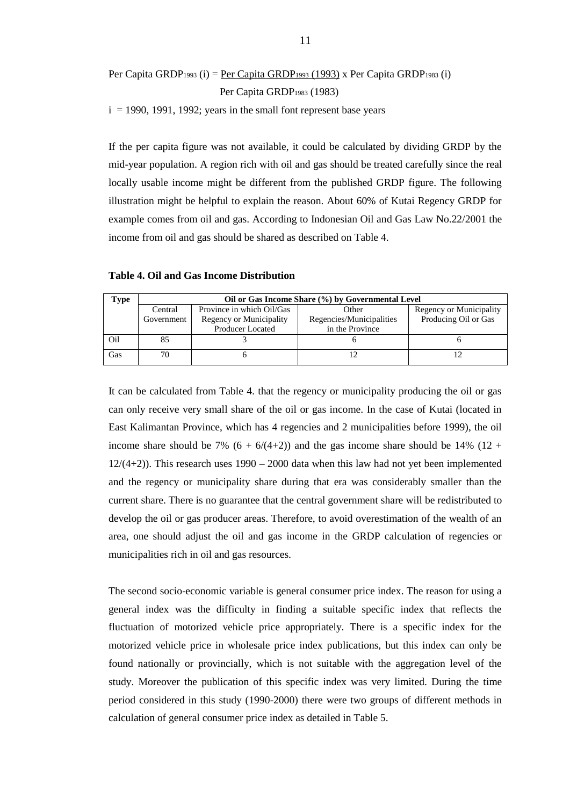Per Capita GRDP<sub>1993</sub> (i) = <u>Per Capita GRDP<sub>1993</sub> (1993)</u> x Per Capita GRDP<sub>1983</sub> (i) Per Capita GRDP<sup>1983</sup> (1983)

 $i = 1990, 1991, 1992$ ; years in the small font represent base years

If the per capita figure was not available, it could be calculated by dividing GRDP by the mid-year population. A region rich with oil and gas should be treated carefully since the real locally usable income might be different from the published GRDP figure. The following illustration might be helpful to explain the reason. About 60% of Kutai Regency GRDP for example comes from oil and gas. According to Indonesian Oil and Gas Law No.22/2001 the income from oil and gas should be shared as described on Table 4.

| Type |            | Oil or Gas Income Share (%) by Governmental Level |                          |                         |  |
|------|------------|---------------------------------------------------|--------------------------|-------------------------|--|
|      | Central    | Province in which Oil/Gas                         | Other                    | Regency or Municipality |  |
|      | Government | Regency or Municipality                           | Regencies/Municipalities | Producing Oil or Gas    |  |
|      |            | <b>Producer Located</b>                           | in the Province          |                         |  |
| Oil  | 85         |                                                   |                          |                         |  |
| Gas  | 70         |                                                   |                          |                         |  |

**Table 4. Oil and Gas Income Distribution**

It can be calculated from Table 4. that the regency or municipality producing the oil or gas can only receive very small share of the oil or gas income. In the case of Kutai (located in East Kalimantan Province, which has 4 regencies and 2 municipalities before 1999), the oil income share should be 7%  $(6 + 6/(4+2))$  and the gas income share should be 14%  $(12 +$  $12/(4+2)$ ). This research uses  $1990 - 2000$  data when this law had not yet been implemented and the regency or municipality share during that era was considerably smaller than the current share. There is no guarantee that the central government share will be redistributed to develop the oil or gas producer areas. Therefore, to avoid overestimation of the wealth of an area, one should adjust the oil and gas income in the GRDP calculation of regencies or municipalities rich in oil and gas resources.

The second socio-economic variable is general consumer price index. The reason for using a general index was the difficulty in finding a suitable specific index that reflects the fluctuation of motorized vehicle price appropriately. There is a specific index for the motorized vehicle price in wholesale price index publications, but this index can only be found nationally or provincially, which is not suitable with the aggregation level of the study. Moreover the publication of this specific index was very limited. During the time period considered in this study (1990-2000) there were two groups of different methods in calculation of general consumer price index as detailed in Table 5.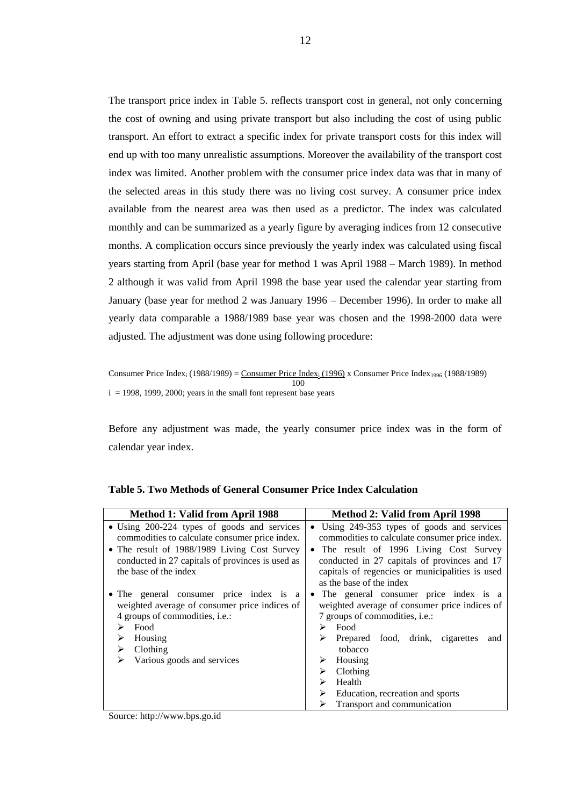The transport price index in Table 5. reflects transport cost in general, not only concerning the cost of owning and using private transport but also including the cost of using public transport. An effort to extract a specific index for private transport costs for this index will end up with too many unrealistic assumptions. Moreover the availability of the transport cost index was limited. Another problem with the consumer price index data was that in many of the selected areas in this study there was no living cost survey. A consumer price index available from the nearest area was then used as a predictor. The index was calculated monthly and can be summarized as a yearly figure by averaging indices from 12 consecutive months. A complication occurs since previously the yearly index was calculated using fiscal years starting from April (base year for method 1 was April 1988 – March 1989). In method 2 although it was valid from April 1998 the base year used the calendar year starting from January (base year for method 2 was January 1996 – December 1996). In order to make all yearly data comparable a 1988/1989 base year was chosen and the 1998-2000 data were adjusted. The adjustment was done using following procedure:

Consumer Price Index<sub>i</sub> (1988/1989) = Consumer Price Index<sub>i</sub> (1996) x Consumer Price Index<sub>1996</sub> (1988/1989) 100 i = 1998, 1999, 2000; years in the small font represent base years

Before any adjustment was made, the yearly consumer price index was in the form of calendar year index.

| Method 1: Valid from April 1988                                                                                                                                                                                                                                                                                                                          | Method 2: Valid from April 1998                                                                                                                                                                                                                                                                                                                                                                       |
|----------------------------------------------------------------------------------------------------------------------------------------------------------------------------------------------------------------------------------------------------------------------------------------------------------------------------------------------------------|-------------------------------------------------------------------------------------------------------------------------------------------------------------------------------------------------------------------------------------------------------------------------------------------------------------------------------------------------------------------------------------------------------|
| • Using 200-224 types of goods and services<br>commodities to calculate consumer price index.<br>• The result of 1988/1989 Living Cost Survey<br>conducted in 27 capitals of provinces is used as<br>the base of the index<br>• The general consumer price index is a<br>weighted average of consumer price indices of<br>4 groups of commodities, i.e.: | • Using 249-353 types of goods and services<br>commodities to calculate consumer price index.<br>• The result of 1996 Living Cost Survey<br>conducted in 27 capitals of provinces and 17<br>capitals of regencies or municipalities is used<br>as the base of the index<br>• The general consumer price index is a<br>weighted average of consumer price indices of<br>7 groups of commodities, i.e.: |
| Food<br>Housing<br>Clothing<br>Various goods and services<br>$\sim$ $\sim$ $\sim$ $\sim$ $\sim$ $\sim$                                                                                                                                                                                                                                                   | Food<br>➤<br>Prepared food, drink, cigarettes<br>and<br>tobacco<br>Housing<br>➤<br>Clothing<br>➤<br>Health<br>⋗<br>Education, recreation and sports<br>Transport and communication                                                                                                                                                                                                                    |

| <b>Table 5. Two Methods of General Consumer Price Index Calculation</b> |  |  |
|-------------------------------------------------------------------------|--|--|
|-------------------------------------------------------------------------|--|--|

Source: [http://www.bps.go.id](http://www.bps.go.id/)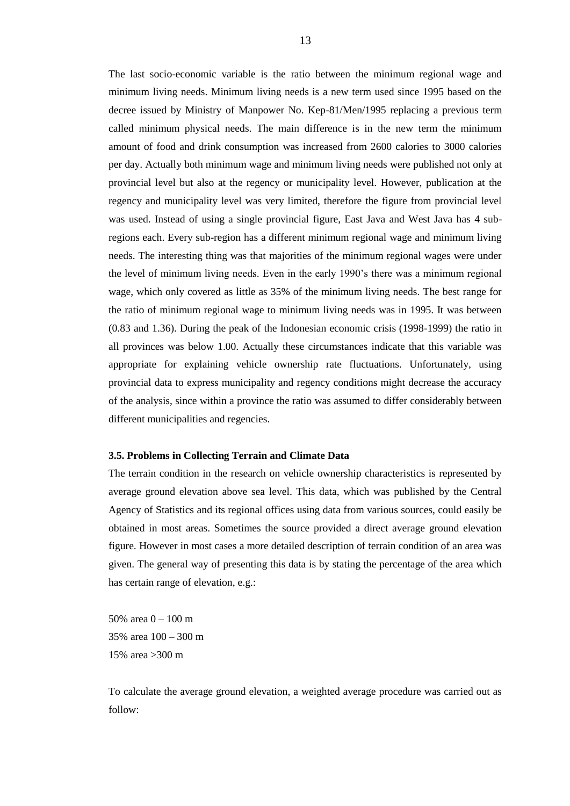The last socio-economic variable is the ratio between the minimum regional wage and minimum living needs. Minimum living needs is a new term used since 1995 based on the decree issued by Ministry of Manpower No. Kep-81/Men/1995 replacing a previous term called minimum physical needs. The main difference is in the new term the minimum amount of food and drink consumption was increased from 2600 calories to 3000 calories per day. Actually both minimum wage and minimum living needs were published not only at provincial level but also at the regency or municipality level. However, publication at the regency and municipality level was very limited, therefore the figure from provincial level was used. Instead of using a single provincial figure, East Java and West Java has 4 subregions each. Every sub-region has a different minimum regional wage and minimum living needs. The interesting thing was that majorities of the minimum regional wages were under the level of minimum living needs. Even in the early 1990"s there was a minimum regional wage, which only covered as little as 35% of the minimum living needs. The best range for the ratio of minimum regional wage to minimum living needs was in 1995. It was between (0.83 and 1.36). During the peak of the Indonesian economic crisis (1998-1999) the ratio in all provinces was below 1.00. Actually these circumstances indicate that this variable was appropriate for explaining vehicle ownership rate fluctuations. Unfortunately, using provincial data to express municipality and regency conditions might decrease the accuracy of the analysis, since within a province the ratio was assumed to differ considerably between different municipalities and regencies.

## **3.5. Problems in Collecting Terrain and Climate Data**

The terrain condition in the research on vehicle ownership characteristics is represented by average ground elevation above sea level. This data, which was published by the Central Agency of Statistics and its regional offices using data from various sources, could easily be obtained in most areas. Sometimes the source provided a direct average ground elevation figure. However in most cases a more detailed description of terrain condition of an area was given. The general way of presenting this data is by stating the percentage of the area which has certain range of elevation, e.g.:

50% area 0 – 100 m 35% area 100 – 300 m 15% area >300 m

To calculate the average ground elevation, a weighted average procedure was carried out as follow: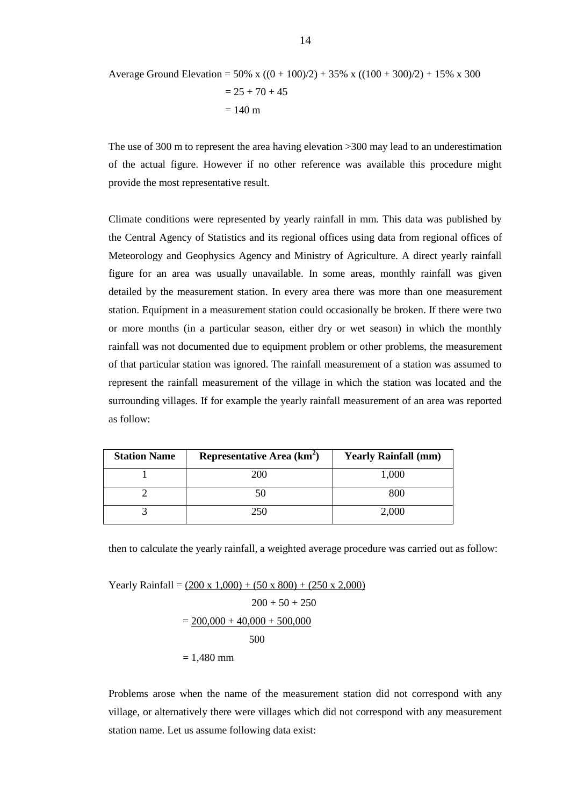Average Ground Elevation = 50% x ((0 + 100)/2) + 35% x ((100 + 300)/2) + 15% x 300 = 25 + 70 + 45 = 140 m

The use of 300 m to represent the area having elevation >300 may lead to an underestimation of the actual figure. However if no other reference was available this procedure might provide the most representative result.

Climate conditions were represented by yearly rainfall in mm. This data was published by the Central Agency of Statistics and its regional offices using data from regional offices of Meteorology and Geophysics Agency and Ministry of Agriculture. A direct yearly rainfall figure for an area was usually unavailable. In some areas, monthly rainfall was given detailed by the measurement station. In every area there was more than one measurement station. Equipment in a measurement station could occasionally be broken. If there were two or more months (in a particular season, either dry or wet season) in which the monthly rainfall was not documented due to equipment problem or other problems, the measurement of that particular station was ignored. The rainfall measurement of a station was assumed to represent the rainfall measurement of the village in which the station was located and the surrounding villages. If for example the yearly rainfall measurement of an area was reported as follow:

| <b>Station Name</b> | Representative Area (km <sup>2</sup> ) | <b>Yearly Rainfall (mm)</b> |
|---------------------|----------------------------------------|-----------------------------|
|                     | 200                                    | 1,000                       |
|                     |                                        | 800                         |
|                     |                                        | 2,000                       |

then to calculate the yearly rainfall, a weighted average procedure was carried out as follow:

Yearly Rainfall = 
$$
(200 \times 1,000) + (50 \times 800) + (250 \times 2,000)
$$
  
200 + 50 + 250  
=  $200,000 + 40,000 + 500,000$   
500  
= 1,480 mm

Problems arose when the name of the measurement station did not correspond with any village, or alternatively there were villages which did not correspond with any measurement station name. Let us assume following data exist: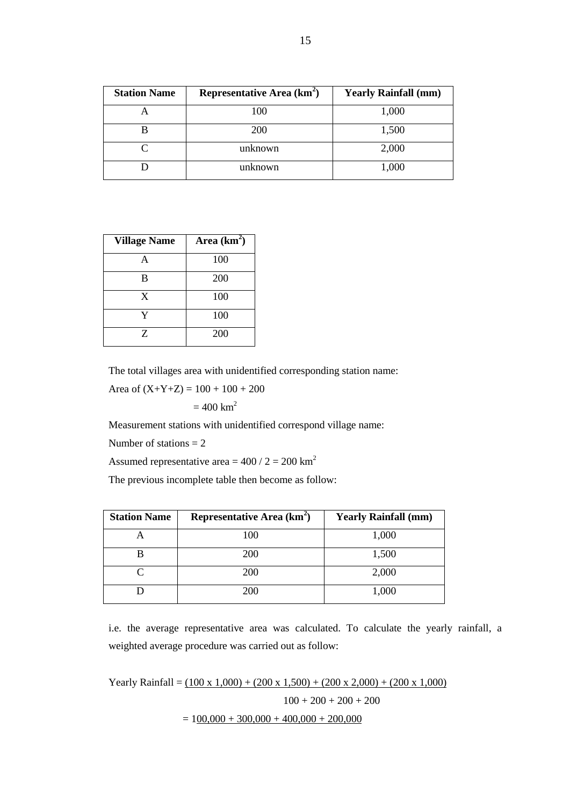| <b>Station Name</b> | Representative Area (km <sup>2</sup> ) | <b>Yearly Rainfall (mm)</b> |
|---------------------|----------------------------------------|-----------------------------|
|                     | 100                                    | 1,000                       |
|                     | <b>200</b>                             | 1,500                       |
|                     | unknown                                | 2,000                       |
|                     | unknown                                | 1,000                       |

| <b>Village Name</b> | Area $(km^2)$ |
|---------------------|---------------|
| А                   | 100           |
| в                   | 200           |
| X                   | 100           |
| Y                   | 100           |
| Z                   | 200           |

The total villages area with unidentified corresponding station name:

Area of  $(X+Y+Z) = 100 + 100 + 200$ 

 $= 400$  km<sup>2</sup>

Measurement stations with unidentified correspond village name:

Number of stations  $= 2$ 

Assumed representative area =  $400 / 2 = 200$  km<sup>2</sup>

The previous incomplete table then become as follow:

| <b>Station Name</b> | Representative Area (km <sup>2</sup> ) | <b>Yearly Rainfall (mm)</b> |
|---------------------|----------------------------------------|-----------------------------|
|                     | 100                                    | 1,000                       |
|                     | 200                                    | 1,500                       |
|                     | 200                                    | 2,000                       |
|                     | 200                                    | 1,000                       |

i.e. the average representative area was calculated. To calculate the yearly rainfall, a weighted average procedure was carried out as follow:

Yearly Rainfall =  $(100 \times 1,000) + (200 \times 1,500) + (200 \times 2,000) + (200 \times 1,000)$  $100 + 200 + 200 + 200$  $= 100,000 + 300,000 + 400,000 + 200,000$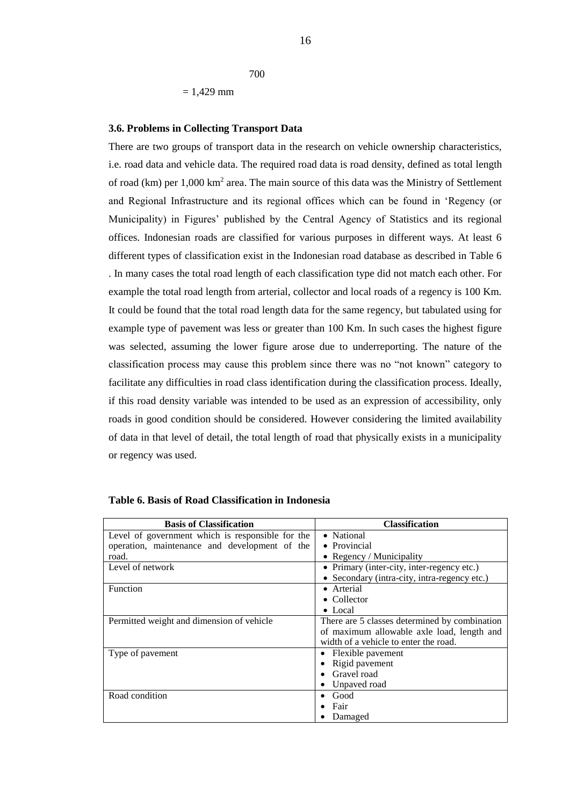$= 1,429$  mm

700

#### **3.6. Problems in Collecting Transport Data**

There are two groups of transport data in the research on vehicle ownership characteristics, i.e. road data and vehicle data. The required road data is road density, defined as total length of road (km) per  $1,000 \text{ km}^2$  area. The main source of this data was the Ministry of Settlement and Regional Infrastructure and its regional offices which can be found in "Regency (or Municipality) in Figures" published by the Central Agency of Statistics and its regional offices. Indonesian roads are classified for various purposes in different ways. At least 6 different types of classification exist in the Indonesian road database as described in Table 6 . In many cases the total road length of each classification type did not match each other. For example the total road length from arterial, collector and local roads of a regency is 100 Km. It could be found that the total road length data for the same regency, but tabulated using for example type of pavement was less or greater than 100 Km. In such cases the highest figure was selected, assuming the lower figure arose due to underreporting. The nature of the classification process may cause this problem since there was no "not known" category to facilitate any difficulties in road class identification during the classification process. Ideally, if this road density variable was intended to be used as an expression of accessibility, only roads in good condition should be considered. However considering the limited availability of data in that level of detail, the total length of road that physically exists in a municipality or regency was used.

| <b>Basis of Classification</b>                   | <b>Classification</b>                         |
|--------------------------------------------------|-----------------------------------------------|
| Level of government which is responsible for the | • National                                    |
| operation, maintenance and development of the    | • Provincial                                  |
| road.                                            | • Regency / Municipality                      |
| Level of network                                 | • Primary (inter-city, inter-regency etc.)    |
|                                                  | • Secondary (intra-city, intra-regency etc.)  |
| <b>Function</b>                                  | • Arterial                                    |
|                                                  | $\bullet$ Collector                           |
|                                                  | $\bullet$ Local                               |
| Permitted weight and dimension of vehicle        | There are 5 classes determined by combination |
|                                                  | of maximum allowable axle load, length and    |
|                                                  | width of a vehicle to enter the road.         |
| Type of pavement                                 | Flexible pavement                             |
|                                                  | Rigid pavement                                |
|                                                  | Gravel road                                   |
|                                                  | Unpaved road                                  |
| Road condition                                   | Good                                          |
|                                                  | Fair                                          |
|                                                  | Damaged                                       |

| Table 6. Basis of Road Classification in Indonesia |  |  |
|----------------------------------------------------|--|--|
|----------------------------------------------------|--|--|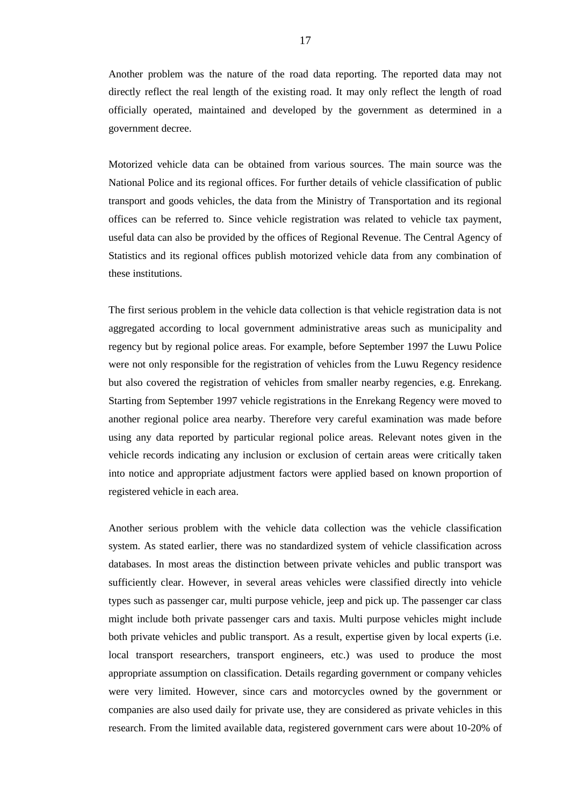Another problem was the nature of the road data reporting. The reported data may not directly reflect the real length of the existing road. It may only reflect the length of road officially operated, maintained and developed by the government as determined in a government decree.

Motorized vehicle data can be obtained from various sources. The main source was the National Police and its regional offices. For further details of vehicle classification of public transport and goods vehicles, the data from the Ministry of Transportation and its regional offices can be referred to. Since vehicle registration was related to vehicle tax payment, useful data can also be provided by the offices of Regional Revenue. The Central Agency of Statistics and its regional offices publish motorized vehicle data from any combination of these institutions.

The first serious problem in the vehicle data collection is that vehicle registration data is not aggregated according to local government administrative areas such as municipality and regency but by regional police areas. For example, before September 1997 the Luwu Police were not only responsible for the registration of vehicles from the Luwu Regency residence but also covered the registration of vehicles from smaller nearby regencies, e.g. Enrekang. Starting from September 1997 vehicle registrations in the Enrekang Regency were moved to another regional police area nearby. Therefore very careful examination was made before using any data reported by particular regional police areas. Relevant notes given in the vehicle records indicating any inclusion or exclusion of certain areas were critically taken into notice and appropriate adjustment factors were applied based on known proportion of registered vehicle in each area.

Another serious problem with the vehicle data collection was the vehicle classification system. As stated earlier, there was no standardized system of vehicle classification across databases. In most areas the distinction between private vehicles and public transport was sufficiently clear. However, in several areas vehicles were classified directly into vehicle types such as passenger car, multi purpose vehicle, jeep and pick up. The passenger car class might include both private passenger cars and taxis. Multi purpose vehicles might include both private vehicles and public transport. As a result, expertise given by local experts (i.e. local transport researchers, transport engineers, etc.) was used to produce the most appropriate assumption on classification. Details regarding government or company vehicles were very limited. However, since cars and motorcycles owned by the government or companies are also used daily for private use, they are considered as private vehicles in this research. From the limited available data, registered government cars were about 10-20% of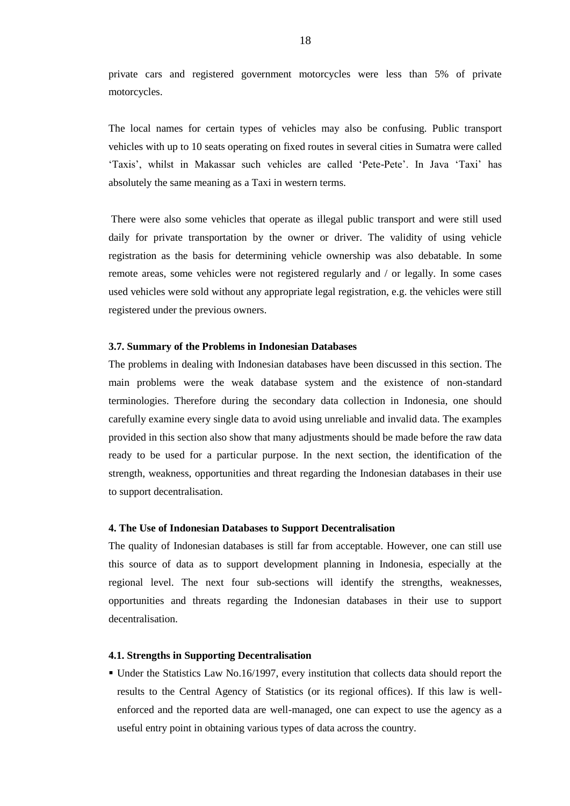private cars and registered government motorcycles were less than 5% of private motorcycles.

The local names for certain types of vehicles may also be confusing. Public transport vehicles with up to 10 seats operating on fixed routes in several cities in Sumatra were called "Taxis", whilst in Makassar such vehicles are called "Pete-Pete". In Java "Taxi" has absolutely the same meaning as a Taxi in western terms.

There were also some vehicles that operate as illegal public transport and were still used daily for private transportation by the owner or driver. The validity of using vehicle registration as the basis for determining vehicle ownership was also debatable. In some remote areas, some vehicles were not registered regularly and / or legally. In some cases used vehicles were sold without any appropriate legal registration, e.g. the vehicles were still registered under the previous owners.

## **3.7. Summary of the Problems in Indonesian Databases**

The problems in dealing with Indonesian databases have been discussed in this section. The main problems were the weak database system and the existence of non-standard terminologies. Therefore during the secondary data collection in Indonesia, one should carefully examine every single data to avoid using unreliable and invalid data. The examples provided in this section also show that many adjustments should be made before the raw data ready to be used for a particular purpose. In the next section, the identification of the strength, weakness, opportunities and threat regarding the Indonesian databases in their use to support decentralisation.

## **4. The Use of Indonesian Databases to Support Decentralisation**

The quality of Indonesian databases is still far from acceptable. However, one can still use this source of data as to support development planning in Indonesia, especially at the regional level. The next four sub-sections will identify the strengths, weaknesses, opportunities and threats regarding the Indonesian databases in their use to support decentralisation.

#### **4.1. Strengths in Supporting Decentralisation**

 Under the Statistics Law No.16/1997, every institution that collects data should report the results to the Central Agency of Statistics (or its regional offices). If this law is wellenforced and the reported data are well-managed, one can expect to use the agency as a useful entry point in obtaining various types of data across the country.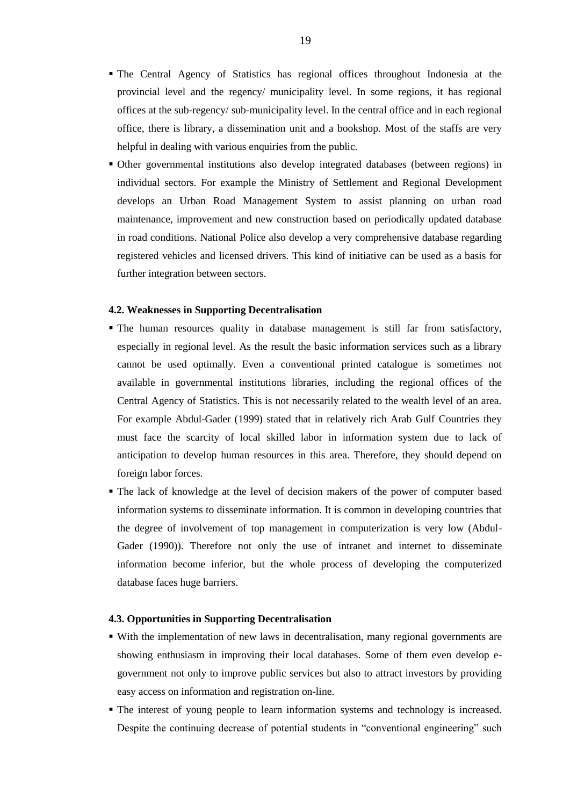- The Central Agency of Statistics has regional offices throughout Indonesia at the provincial level and the regency/ municipality level. In some regions, it has regional offices at the sub-regency/ sub-municipality level. In the central office and in each regional office, there is library, a dissemination unit and a bookshop. Most of the staffs are very helpful in dealing with various enquiries from the public.
- Other governmental institutions also develop integrated databases (between regions) in individual sectors. For example the Ministry of Settlement and Regional Development develops an Urban Road Management System to assist planning on urban road maintenance, improvement and new construction based on periodically updated database in road conditions. National Police also develop a very comprehensive database regarding registered vehicles and licensed drivers. This kind of initiative can be used as a basis for further integration between sectors.

## **4.2. Weaknesses in Supporting Decentralisation**

- The human resources quality in database management is still far from satisfactory, especially in regional level. As the result the basic information services such as a library cannot be used optimally. Even a conventional printed catalogue is sometimes not available in governmental institutions libraries, including the regional offices of the Central Agency of Statistics. This is not necessarily related to the wealth level of an area. For example Abdul-Gader (1999) stated that in relatively rich Arab Gulf Countries they must face the scarcity of local skilled labor in information system due to lack of anticipation to develop human resources in this area. Therefore, they should depend on foreign labor forces.
- The lack of knowledge at the level of decision makers of the power of computer based information systems to disseminate information. It is common in developing countries that the degree of involvement of top management in computerization is very low (Abdul-Gader (1990)). Therefore not only the use of intranet and internet to disseminate information become inferior, but the whole process of developing the computerized database faces huge barriers.

## **4.3. Opportunities in Supporting Decentralisation**

- With the implementation of new laws in decentralisation, many regional governments are showing enthusiasm in improving their local databases. Some of them even develop egovernment not only to improve public services but also to attract investors by providing easy access on information and registration on-line.
- The interest of young people to learn information systems and technology is increased. Despite the continuing decrease of potential students in "conventional engineering" such